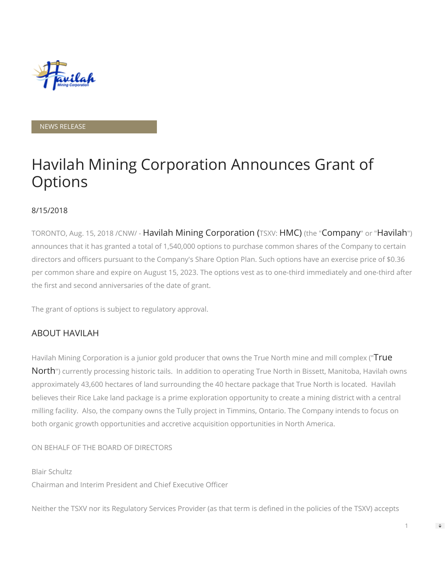

NEWS RELEASE

## Havilah Mining Corporation Announces Grant of **Options**

## 8/15/2018

TORONTO, Aug. 15, 2018 /CNW/ - Havilah Mining Corporation (TSXV: HMC) (the "Company" or "Havilah") announces that it has granted a total of 1,540,000 options to purchase common shares of the Company to certain directors and officers pursuant to the Company's Share Option Plan. Such options have an exercise price of \$0.36 per common share and expire on August 15, 2023. The options vest as to one-third immediately and one-third after the first and second anniversaries of the date of grant.

The grant of options is subject to regulatory approval.

## ABOUT HAVILAH

Havilah Mining Corporation is a junior gold producer that owns the True North mine and mill complex ("True North") currently processing historic tails. In addition to operating True North in Bissett, Manitoba, Havilah owns approximately 43,600 hectares of land surrounding the 40 hectare package that True North is located. Havilah believes their Rice Lake land package is a prime exploration opportunity to create a mining district with a central milling facility. Also, the company owns the Tully project in Timmins, Ontario. The Company intends to focus on both organic growth opportunities and accretive acquisition opportunities in North America.

ON BEHALF OF THE BOARD OF DIRECTORS

Blair Schultz Chairman and Interim President and Chief Executive Officer

Neither the TSXV nor its Regulatory Services Provider (as that term is defined in the policies of the TSXV) accepts

1

 $\Rightarrow$